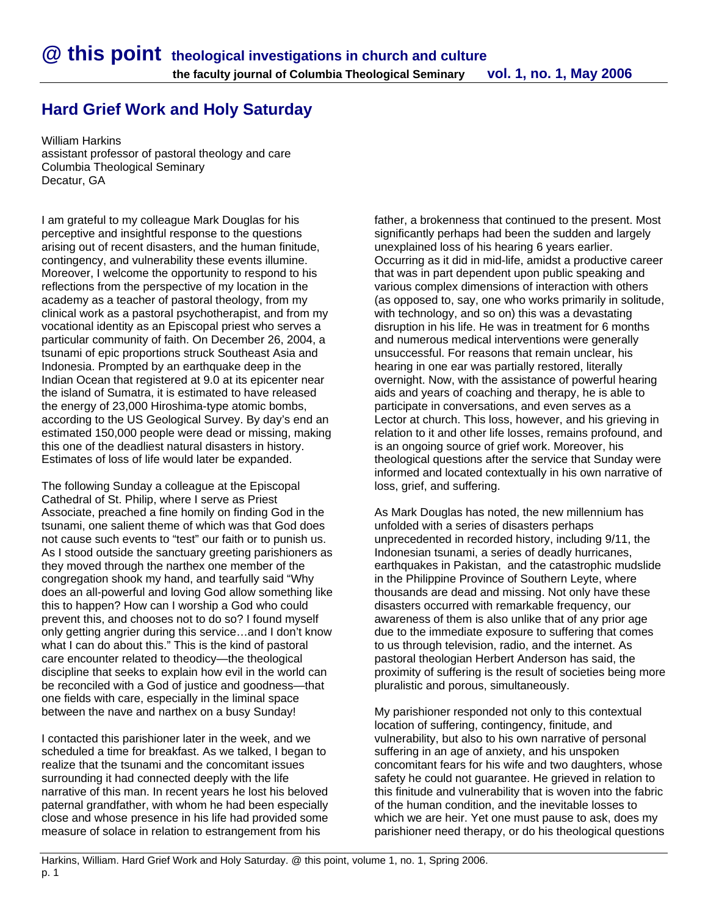## **Hard Grief Work and Holy Saturday**

William Harkins assistant professor of pastoral theology and care Columbia Theological Seminary Decatur, GA

I am grateful to my colleague Mark Douglas for his perceptive and insightful response to the questions arising out of recent disasters, and the human finitude, contingency, and vulnerability these events illumine. Moreover, I welcome the opportunity to respond to his reflections from the perspective of my location in the academy as a teacher of pastoral theology, from my clinical work as a pastoral psychotherapist, and from my vocational identity as an Episcopal priest who serves a particular community of faith. On December 26, 2004, a tsunami of epic proportions struck Southeast Asia and Indonesia. Prompted by an earthquake deep in the Indian Ocean that registered at 9.0 at its epicenter near the island of Sumatra, it is estimated to have released the energy of 23,000 Hiroshima-type atomic bombs, according to the US Geological Survey. By day's end an estimated 150,000 people were dead or missing, making this one of the deadliest natural disasters in history. Estimates of loss of life would later be expanded.

The following Sunday a colleague at the Episcopal Cathedral of St. Philip, where I serve as Priest Associate, preached a fine homily on finding God in the tsunami, one salient theme of which was that God does not cause such events to "test" our faith or to punish us. As I stood outside the sanctuary greeting parishioners as they moved through the narthex one member of the congregation shook my hand, and tearfully said "Why does an all-powerful and loving God allow something like this to happen? How can I worship a God who could prevent this, and chooses not to do so? I found myself only getting angrier during this service…and I don't know what I can do about this." This is the kind of pastoral care encounter related to theodicy—the theological discipline that seeks to explain how evil in the world can be reconciled with a God of justice and goodness—that one fields with care, especially in the liminal space between the nave and narthex on a busy Sunday!

I contacted this parishioner later in the week, and we scheduled a time for breakfast. As we talked, I began to realize that the tsunami and the concomitant issues surrounding it had connected deeply with the life narrative of this man. In recent years he lost his beloved paternal grandfather, with whom he had been especially close and whose presence in his life had provided some measure of solace in relation to estrangement from his

father, a brokenness that continued to the present. Most significantly perhaps had been the sudden and largely unexplained loss of his hearing 6 years earlier. Occurring as it did in mid-life, amidst a productive career that was in part dependent upon public speaking and various complex dimensions of interaction with others (as opposed to, say, one who works primarily in solitude, with technology, and so on) this was a devastating disruption in his life. He was in treatment for 6 months and numerous medical interventions were generally unsuccessful. For reasons that remain unclear, his hearing in one ear was partially restored, literally overnight. Now, with the assistance of powerful hearing aids and years of coaching and therapy, he is able to participate in conversations, and even serves as a Lector at church. This loss, however, and his grieving in relation to it and other life losses, remains profound, and is an ongoing source of grief work. Moreover, his theological questions after the service that Sunday were informed and located contextually in his own narrative of loss, grief, and suffering.

As Mark Douglas has noted, the new millennium has unfolded with a series of disasters perhaps unprecedented in recorded history, including 9/11, the Indonesian tsunami, a series of deadly hurricanes, earthquakes in Pakistan, and the catastrophic mudslide in the Philippine Province of Southern Leyte, where thousands are dead and missing. Not only have these disasters occurred with remarkable frequency, our awareness of them is also unlike that of any prior age due to the immediate exposure to suffering that comes to us through television, radio, and the internet. As pastoral theologian Herbert Anderson has said, the proximity of suffering is the result of societies being more pluralistic and porous, simultaneously.

My parishioner responded not only to this contextual location of suffering, contingency, finitude, and vulnerability, but also to his own narrative of personal suffering in an age of anxiety, and his unspoken concomitant fears for his wife and two daughters, whose safety he could not guarantee. He grieved in relation to this finitude and vulnerability that is woven into the fabric of the human condition, and the inevitable losses to which we are heir. Yet one must pause to ask, does my parishioner need therapy, or do his theological questions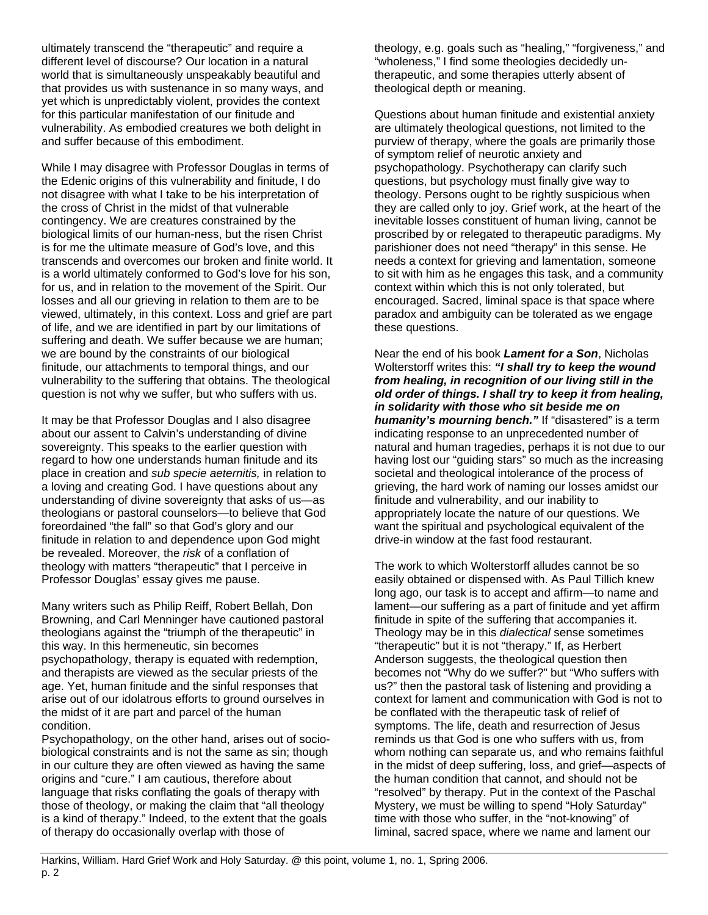ultimately transcend the "therapeutic" and require a different level of discourse? Our location in a natural world that is simultaneously unspeakably beautiful and that provides us with sustenance in so many ways, and yet which is unpredictably violent, provides the context for this particular manifestation of our finitude and vulnerability. As embodied creatures we both delight in and suffer because of this embodiment.

While I may disagree with Professor Douglas in terms of the Edenic origins of this vulnerability and finitude, I do not disagree with what I take to be his interpretation of the cross of Christ in the midst of that vulnerable contingency. We are creatures constrained by the biological limits of our human-ness, but the risen Christ is for me the ultimate measure of God's love, and this transcends and overcomes our broken and finite world. It is a world ultimately conformed to God's love for his son, for us, and in relation to the movement of the Spirit. Our losses and all our grieving in relation to them are to be viewed, ultimately, in this context. Loss and grief are part of life, and we are identified in part by our limitations of suffering and death. We suffer because we are human; we are bound by the constraints of our biological finitude, our attachments to temporal things, and our vulnerability to the suffering that obtains. The theological question is not why we suffer, but who suffers with us.

It may be that Professor Douglas and I also disagree about our assent to Calvin's understanding of divine sovereignty. This speaks to the earlier question with regard to how one understands human finitude and its place in creation and *sub specie aeternitis,* in relation to a loving and creating God. I have questions about any understanding of divine sovereignty that asks of us—as theologians or pastoral counselors—to believe that God foreordained "the fall" so that God's glory and our finitude in relation to and dependence upon God might be revealed. Moreover, the *risk* of a conflation of theology with matters "therapeutic" that I perceive in Professor Douglas' essay gives me pause.

Many writers such as Philip Reiff, Robert Bellah, Don Browning, and Carl Menninger have cautioned pastoral theologians against the "triumph of the therapeutic" in this way. In this hermeneutic, sin becomes psychopathology, therapy is equated with redemption, and therapists are viewed as the secular priests of the age. Yet, human finitude and the sinful responses that arise out of our idolatrous efforts to ground ourselves in the midst of it are part and parcel of the human condition.

Psychopathology, on the other hand, arises out of sociobiological constraints and is not the same as sin; though in our culture they are often viewed as having the same origins and "cure." I am cautious, therefore about language that risks conflating the goals of therapy with those of theology, or making the claim that "all theology is a kind of therapy." Indeed, to the extent that the goals of therapy do occasionally overlap with those of

theology, e.g. goals such as "healing," "forgiveness," and "wholeness," I find some theologies decidedly untherapeutic, and some therapies utterly absent of theological depth or meaning.

Questions about human finitude and existential anxiety are ultimately theological questions, not limited to the purview of therapy, where the goals are primarily those of symptom relief of neurotic anxiety and psychopathology. Psychotherapy can clarify such questions, but psychology must finally give way to theology. Persons ought to be rightly suspicious when they are called only to joy. Grief work, at the heart of the inevitable losses constituent of human living, cannot be proscribed by or relegated to therapeutic paradigms. My parishioner does not need "therapy" in this sense. He needs a context for grieving and lamentation, someone to sit with him as he engages this task, and a community context within which this is not only tolerated, but encouraged. Sacred, liminal space is that space where paradox and ambiguity can be tolerated as we engage these questions.

Near the end of his book *Lament for a Son*, Nicholas Wolterstorff writes this: *"I shall try to keep the wound from healing, in recognition of our living still in the old order of things. I shall try to keep it from healing, in solidarity with those who sit beside me on humanity's mourning bench."* If "disastered" is a term indicating response to an unprecedented number of natural and human tragedies, perhaps it is not due to our having lost our "guiding stars" so much as the increasing societal and theological intolerance of the process of grieving, the hard work of naming our losses amidst our finitude and vulnerability, and our inability to appropriately locate the nature of our questions. We want the spiritual and psychological equivalent of the drive-in window at the fast food restaurant.

The work to which Wolterstorff alludes cannot be so easily obtained or dispensed with. As Paul Tillich knew long ago, our task is to accept and affirm—to name and lament—our suffering as a part of finitude and yet affirm finitude in spite of the suffering that accompanies it. Theology may be in this *dialectical* sense sometimes "therapeutic" but it is not "therapy." If, as Herbert Anderson suggests, the theological question then becomes not "Why do we suffer?" but "Who suffers with us?" then the pastoral task of listening and providing a context for lament and communication with God is not to be conflated with the therapeutic task of relief of symptoms. The life, death and resurrection of Jesus reminds us that God is one who suffers with us, from whom nothing can separate us, and who remains faithful in the midst of deep suffering, loss, and grief—aspects of the human condition that cannot, and should not be "resolved" by therapy. Put in the context of the Paschal Mystery, we must be willing to spend "Holy Saturday" time with those who suffer, in the "not-knowing" of liminal, sacred space, where we name and lament our